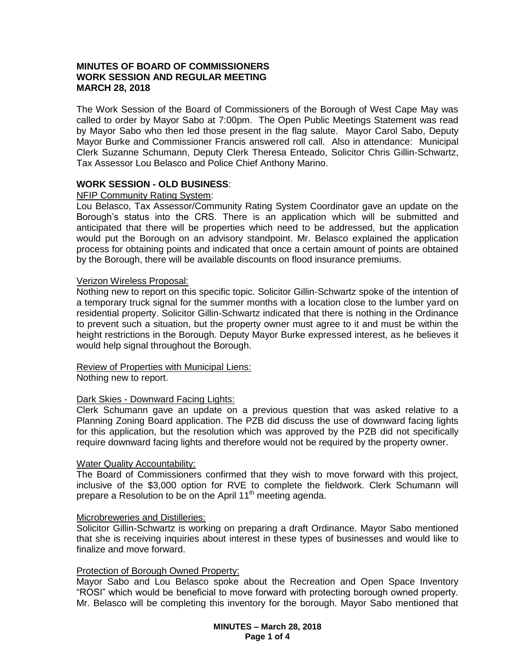## **MINUTES OF BOARD OF COMMISSIONERS WORK SESSION AND REGULAR MEETING MARCH 28, 2018**

The Work Session of the Board of Commissioners of the Borough of West Cape May was called to order by Mayor Sabo at 7:00pm. The Open Public Meetings Statement was read by Mayor Sabo who then led those present in the flag salute. Mayor Carol Sabo, Deputy Mayor Burke and Commissioner Francis answered roll call. Also in attendance: Municipal Clerk Suzanne Schumann, Deputy Clerk Theresa Enteado, Solicitor Chris Gillin-Schwartz, Tax Assessor Lou Belasco and Police Chief Anthony Marino.

# **WORK SESSION - OLD BUSINESS**:

#### NFIP Community Rating System:

Lou Belasco, Tax Assessor/Community Rating System Coordinator gave an update on the Borough's status into the CRS. There is an application which will be submitted and anticipated that there will be properties which need to be addressed, but the application would put the Borough on an advisory standpoint. Mr. Belasco explained the application process for obtaining points and indicated that once a certain amount of points are obtained by the Borough, there will be available discounts on flood insurance premiums.

#### Verizon Wireless Proposal:

Nothing new to report on this specific topic. Solicitor Gillin-Schwartz spoke of the intention of a temporary truck signal for the summer months with a location close to the lumber yard on residential property. Solicitor Gillin-Schwartz indicated that there is nothing in the Ordinance to prevent such a situation, but the property owner must agree to it and must be within the height restrictions in the Borough. Deputy Mayor Burke expressed interest, as he believes it would help signal throughout the Borough.

#### Review of Properties with Municipal Liens:

Nothing new to report.

# Dark Skies - Downward Facing Lights:

Clerk Schumann gave an update on a previous question that was asked relative to a Planning Zoning Board application. The PZB did discuss the use of downward facing lights for this application, but the resolution which was approved by the PZB did not specifically require downward facing lights and therefore would not be required by the property owner.

#### Water Quality Accountability:

The Board of Commissioners confirmed that they wish to move forward with this project, inclusive of the \$3,000 option for RVE to complete the fieldwork. Clerk Schumann will prepare a Resolution to be on the April  $11<sup>th</sup>$  meeting agenda.

#### Microbreweries and Distilleries:

Solicitor Gillin-Schwartz is working on preparing a draft Ordinance. Mayor Sabo mentioned that she is receiving inquiries about interest in these types of businesses and would like to finalize and move forward.

# Protection of Borough Owned Property:

Mayor Sabo and Lou Belasco spoke about the Recreation and Open Space Inventory "ROSI" which would be beneficial to move forward with protecting borough owned property. Mr. Belasco will be completing this inventory for the borough. Mayor Sabo mentioned that

> **MINUTES – March 28, 2018 Page 1 of 4**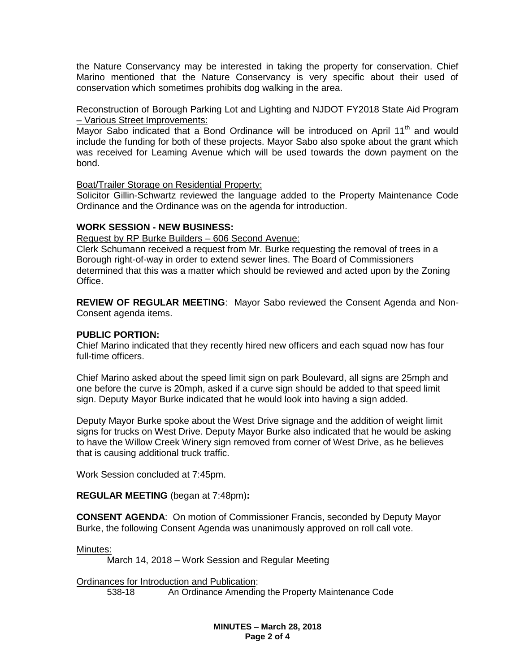the Nature Conservancy may be interested in taking the property for conservation. Chief Marino mentioned that the Nature Conservancy is very specific about their used of conservation which sometimes prohibits dog walking in the area.

Reconstruction of Borough Parking Lot and Lighting and NJDOT FY2018 State Aid Program – Various Street Improvements:

Mayor Sabo indicated that a Bond Ordinance will be introduced on April 11<sup>th</sup> and would include the funding for both of these projects. Mayor Sabo also spoke about the grant which was received for Leaming Avenue which will be used towards the down payment on the bond.

Boat/Trailer Storage on Residential Property:

Solicitor Gillin-Schwartz reviewed the language added to the Property Maintenance Code Ordinance and the Ordinance was on the agenda for introduction.

# **WORK SESSION - NEW BUSINESS:**

Request by RP Burke Builders – 606 Second Avenue:

Clerk Schumann received a request from Mr. Burke requesting the removal of trees in a Borough right-of-way in order to extend sewer lines. The Board of Commissioners determined that this was a matter which should be reviewed and acted upon by the Zoning Office.

**REVIEW OF REGULAR MEETING**: Mayor Sabo reviewed the Consent Agenda and Non-Consent agenda items.

## **PUBLIC PORTION:**

Chief Marino indicated that they recently hired new officers and each squad now has four full-time officers.

Chief Marino asked about the speed limit sign on park Boulevard, all signs are 25mph and one before the curve is 20mph, asked if a curve sign should be added to that speed limit sign. Deputy Mayor Burke indicated that he would look into having a sign added.

Deputy Mayor Burke spoke about the West Drive signage and the addition of weight limit signs for trucks on West Drive. Deputy Mayor Burke also indicated that he would be asking to have the Willow Creek Winery sign removed from corner of West Drive, as he believes that is causing additional truck traffic.

Work Session concluded at 7:45pm.

**REGULAR MEETING** (began at 7:48pm)**:**

**CONSENT AGENDA**: On motion of Commissioner Francis, seconded by Deputy Mayor Burke, the following Consent Agenda was unanimously approved on roll call vote.

Minutes:

March 14, 2018 – Work Session and Regular Meeting

**Ordinances for Introduction and Publication:**<br>538-18 **An Ordinance Amendin** An Ordinance Amending the Property Maintenance Code

> **MINUTES – March 28, 2018 Page 2 of 4**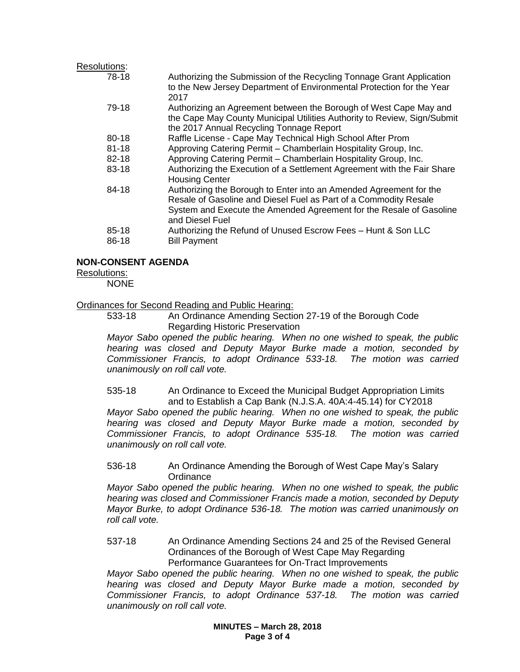# Resolutions:

| 78-18     | Authorizing the Submission of the Recycling Tonnage Grant Application<br>to the New Jersey Department of Environmental Protection for the Year<br>2017                                                                           |
|-----------|----------------------------------------------------------------------------------------------------------------------------------------------------------------------------------------------------------------------------------|
| 79-18     | Authorizing an Agreement between the Borough of West Cape May and<br>the Cape May County Municipal Utilities Authority to Review, Sign/Submit<br>the 2017 Annual Recycling Tonnage Report                                        |
| 80-18     | Raffle License - Cape May Technical High School After Prom                                                                                                                                                                       |
| $81 - 18$ | Approving Catering Permit - Chamberlain Hospitality Group, Inc.                                                                                                                                                                  |
| 82-18     | Approving Catering Permit - Chamberlain Hospitality Group, Inc.                                                                                                                                                                  |
| 83-18     | Authorizing the Execution of a Settlement Agreement with the Fair Share<br><b>Housing Center</b>                                                                                                                                 |
| 84-18     | Authorizing the Borough to Enter into an Amended Agreement for the<br>Resale of Gasoline and Diesel Fuel as Part of a Commodity Resale<br>System and Execute the Amended Agreement for the Resale of Gasoline<br>and Diesel Fuel |
| 85-18     | Authorizing the Refund of Unused Escrow Fees - Hunt & Son LLC                                                                                                                                                                    |
| 86-18     | <b>Bill Payment</b>                                                                                                                                                                                                              |

# **NON-CONSENT AGENDA**

## Resolutions:

NONE

## Ordinances for Second Reading and Public Hearing:

533-18 An Ordinance Amending Section 27-19 of the Borough Code Regarding Historic Preservation

*Mayor Sabo opened the public hearing. When no one wished to speak, the public hearing was closed and Deputy Mayor Burke made a motion, seconded by Commissioner Francis, to adopt Ordinance 533-18. The motion was carried unanimously on roll call vote.*

535-18 An Ordinance to Exceed the Municipal Budget Appropriation Limits and to Establish a Cap Bank (N.J.S.A. 40A:4-45.14) for CY2018

*Mayor Sabo opened the public hearing. When no one wished to speak, the public hearing was closed and Deputy Mayor Burke made a motion, seconded by Commissioner Francis, to adopt Ordinance 535-18. The motion was carried unanimously on roll call vote.*

#### 536-18 An Ordinance Amending the Borough of West Cape May's Salary **Ordinance**

*Mayor Sabo opened the public hearing. When no one wished to speak, the public hearing was closed and Commissioner Francis made a motion, seconded by Deputy Mayor Burke, to adopt Ordinance 536-18. The motion was carried unanimously on roll call vote.*

### 537-18 An Ordinance Amending Sections 24 and 25 of the Revised General Ordinances of the Borough of West Cape May Regarding Performance Guarantees for On-Tract Improvements

*Mayor Sabo opened the public hearing. When no one wished to speak, the public hearing was closed and Deputy Mayor Burke made a motion, seconded by Commissioner Francis, to adopt Ordinance 537-18. The motion was carried unanimously on roll call vote.*

> **MINUTES – March 28, 2018 Page 3 of 4**